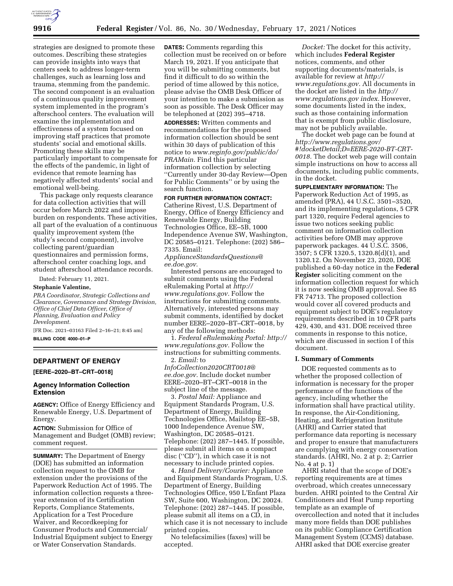

strategies are designed to promote these outcomes. Describing these strategies can provide insights into ways that centers seek to address longer-term challenges, such as learning loss and trauma, stemming from the pandemic. The second component is an evaluation of a continuous quality improvement system implemented in the program's afterschool centers. The evaluation will examine the implementation and effectiveness of a system focused on improving staff practices that promote students' social and emotional skills. Promoting these skills may be particularly important to compensate for the effects of the pandemic, in light of evidence that remote learning has negatively affected students' social and emotional well-being.

This package only requests clearance for data collection activities that will occur before March 2022 and impose burden on respondents. These activities, all part of the evaluation of a continuous quality improvement system (the study's second component), involve collecting parent/guardian questionnaires and permission forms, afterschool center coaching logs, and student afterschool attendance records.

Dated: February 11, 2021.

### **Stephanie Valentine,**

*PRA Coordinator, Strategic Collections and Clearance, Governance and Strategy Division, Office of Chief Data Officer, Office of Planning, Evaluation and Policy Development.* 

[FR Doc. 2021–03163 Filed 2–16–21; 8:45 am] **BILLING CODE 4000–01–P** 

## **DEPARTMENT OF ENERGY**

**[EERE–2020–BT–CRT–0018]** 

# **Agency Information Collection Extension**

**AGENCY:** Office of Energy Efficiency and Renewable Energy, U.S. Department of Energy.

**ACTION:** Submission for Office of Management and Budget (OMB) review; comment request.

**SUMMARY:** The Department of Energy (DOE) has submitted an information collection request to the OMB for extension under the provisions of the Paperwork Reduction Act of 1995. The information collection requests a threeyear extension of its Certification Reports, Compliance Statements, Application for a Test Procedure Waiver, and Recordkeeping for Consumer Products and Commercial/ Industrial Equipment subject to Energy or Water Conservation Standards.

**DATES:** Comments regarding this collection must be received on or before March 19, 2021. If you anticipate that you will be submitting comments, but find it difficult to do so within the period of time allowed by this notice, please advise the OMB Desk Officer of your intention to make a submission as soon as possible. The Desk Officer may be telephoned at (202) 395–4718.

**ADDRESSES:** Written comments and recommendations for the proposed information collection should be sent within 30 days of publication of this notice to *[www.reginfo.gov/public/do/](http://www.reginfo.gov/public/do/PRAMain) [PRAMain.](http://www.reginfo.gov/public/do/PRAMain)* Find this particular information collection by selecting ''Currently under 30-day Review—Open for Public Comments'' or by using the search function.

**FOR FURTHER INFORMATION CONTACT:**  Catherine Rivest, U.S. Department of Energy, Office of Energy Efficiency and Renewable Energy, Building Technologies Office, EE–5B, 1000 Independence Avenue SW, Washington, DC 20585–0121. Telephone: (202) 586– 7335. Email:

*[ApplianceStandardsQuestions@](mailto:ApplianceStandardsQuestions@ee.doe.gov) [ee.doe.gov.](mailto:ApplianceStandardsQuestions@ee.doe.gov)* 

Interested persons are encouraged to submit comments using the Federal eRulemaking Portal at *[http://](http://www.regulations.gov) [www.regulations.gov.](http://www.regulations.gov)* Follow the instructions for submitting comments. Alternatively, interested persons may submit comments, identified by docket number EERE–2020–BT–CRT–0018, by any of the following methods:

1. *Federal eRulemaking Portal: [http://](http://www.regulations.gov)  [www.regulations.gov.](http://www.regulations.gov)* Follow the instructions for submitting comments. 2. *Email:* to

*[InfoCollection2020CRT0018@](mailto:InfoCollection2020CRT0018@ee.doe.gov) [ee.doe.gov.](mailto:InfoCollection2020CRT0018@ee.doe.gov)* Include docket number EERE–2020–BT–CRT–0018 in the subject line of the message.

3. *Postal Mail:* Appliance and Equipment Standards Program, U.S. Department of Energy, Building Technologies Office, Mailstop EE–5B, 1000 Independence Avenue SW, Washington, DC 20585–0121. Telephone: (202) 287–1445. If possible, please submit all items on a compact disc (''CD''), in which case it is not necessary to include printed copies.

4. *Hand Delivery/Courier:* Appliance and Equipment Standards Program, U.S. Department of Energy, Building Technologies Office, 950 L'Enfant Plaza SW, Suite 600, Washington, DC 20024. Telephone: (202) 287–1445. If possible, please submit all items on a CD, in which case it is not necessary to include printed copies.

No telefacsimilies (faxes) will be accepted.

*Docket:* The docket for this activity, which includes **Federal Register**  notices, comments, and other supporting documents/materials, is available for review at *[http://](http://www.regulations.gov) [www.regulations.gov.](http://www.regulations.gov)* All documents in the docket are listed in the *[http://](http://www.regulations.gov) [www.regulations.gov](http://www.regulations.gov) index.* However, some documents listed in the index, such as those containing information that is exempt from public disclosure, may not be publicly available.

The docket web page can be found at *[http://www.regulations.gov/](http://www.regulations.gov/#!docketDetail;D=EERE-2020-BT-CRT-0018)  [#!docketDetail;D=EERE-2020-BT-CRT-](http://www.regulations.gov/#!docketDetail;D=EERE-2020-BT-CRT-0018)[0018.](http://www.regulations.gov/#!docketDetail;D=EERE-2020-BT-CRT-0018)* The docket web page will contain simple instructions on how to access all documents, including public comments, in the docket.

**SUPPLEMENTARY INFORMATION:** The Paperwork Reduction Act of 1995, as amended (PRA), 44 U.S.C. 3501–3520, and its implementing regulations, 5 CFR part 1320, require Federal agencies to issue two notices seeking public comment on information collection activities before OMB may approve paperwork packages. 44 U.S.C. 3506, 3507; 5 CFR 1320.5, 1320.8(d)(1), and 1320.12. On November 23, 2020, DOE published a 60-day notice in the **Federal Register** soliciting comment on the information collection request for which it is now seeking OMB approval. See 85 FR 74713. The proposed collection would cover all covered products and equipment subject to DOE's regulatory requirements described in 10 CFR parts 429, 430, and 431. DOE received three comments in response to this notice, which are discussed in section I of this document.

### **I. Summary of Comments**

DOE requested comments as to whether the proposed collection of information is necessary for the proper performance of the functions of the agency, including whether the information shall have practical utility. In response, the Air-Conditioning, Heating, and Refrigeration Institute (AHRI) and Carrier stated that performance data reporting is necessary and proper to ensure that manufacturers are complying with energy conservation standards. (AHRI, No. 2 at p. 2; Carrier No. 4 at p. 1)

AHRI stated that the scope of DOE's reporting requirements are at times overbroad, which creates unnecessary burden. AHRI pointed to the Central Air Conditioners and Heat Pump reporting template as an example of overcollection and noted that it includes many more fields than DOE publishes on its public Compliance Certification Management System (CCMS) database. AHRI asked that DOE exercise greater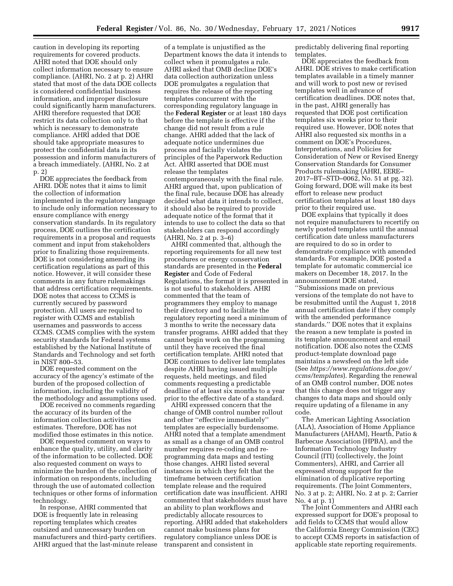caution in developing its reporting requirements for covered products. AHRI noted that DOE should only collect information necessary to ensure compliance. (AHRI, No. 2 at p. 2) AHRI stated that most of the data DOE collects is considered confidential business information, and improper disclosure could significantly harm manufacturers. AHRI therefore requested that DOE restrict its data collection only to that which is necessary to demonstrate compliance. AHRI added that DOE should take appropriate measures to protect the confidential data in its possession and inform manufacturers of a breach immediately. (AHRI, No. 2 at p. 2)

DOE appreciates the feedback from AHRI. DOE notes that it aims to limit the collection of information implemented in the regulatory language to include only information necessary to ensure compliance with energy conservation standards. In its regulatory process, DOE outlines the certification requirements in a proposal and requests comment and input from stakeholders prior to finalizing those requirements. DOE is not considering amending its certification regulations as part of this notice. However, it will consider these comments in any future rulemakings that address certification requirements. DOE notes that access to CCMS is currently secured by password protection. All users are required to register with CCMS and establish usernames and passwords to access CCMS. CCMS complies with the system security standards for Federal systems established by the National Institute of Standards and Technology and set forth in NIST 800–53.

DOE requested comment on the accuracy of the agency's estimate of the burden of the proposed collection of information, including the validity of the methodology and assumptions used.

DOE received no comments regarding the accuracy of its burden of the information collection activities estimates. Therefore, DOE has not modified those estimates in this notice.

DOE requested comment on ways to enhance the quality, utility, and clarity of the information to be collected. DOE also requested comment on ways to minimize the burden of the collection of information on respondents, including through the use of automated collection techniques or other forms of information technology.

In response, AHRI commented that DOE is frequently late in releasing reporting templates which creates outsized and unnecessary burden on manufacturers and third-party certifiers. AHRI argued that the last-minute release

of a template is unjustified as the Department knows the data it intends to collect when it promulgates a rule. AHRI asked that OMB decline DOE's data collection authorization unless DOE promulgates a regulation that requires the release of the reporting templates concurrent with the corresponding regulatory language in the **Federal Register** or at least 180 days before the template is effective if the change did not result from a rule change. AHRI added that the lack of adequate notice undermines due process and facially violates the principles of the Paperwork Reduction Act. AHRI asserted that DOE must release the templates contemporaneously with the final rule. AHRI argued that, upon publication of the final rule, because DOE has already decided what data it intends to collect, it should also be required to provide adequate notice of the format that it intends to use to collect the data so that stakeholders can respond accordingly (AHRI, No. 2 at p. 3–6)

AHRI commented that, although the reporting requirements for all new test procedures or energy conservation standards are presented in the **Federal Register** and Code of Federal Regulations, the format it is presented in is not useful to stakeholders. AHRI commented that the team of programmers they employ to manage their directory and to facilitate the regulatory reporting need a minimum of 3 months to write the necessary data transfer programs. AHRI added that they cannot begin work on the programming until they have received the final certification template. AHRI noted that DOE continues to deliver late templates despite AHRI having issued multiple requests, held meetings, and filed comments requesting a predictable deadline of at least six months to a year prior to the effective date of a standard.

AHRI expressed concern that the change of OMB control number rollout and other ''effective immediately'' templates are especially burdensome. AHRI noted that a template amendment as small as a change of an OMB control number requires re-coding and reprogramming data maps and testing those changes. AHRI listed several instances in which they felt that the timeframe between certification template release and the required certification date was insufficient. AHRI commented that stakeholders must have an ability to plan workflows and predictably allocate resources to reporting. AHRI added that stakeholders cannot make business plans for regulatory compliance unless DOE is transparent and consistent in

predictably delivering final reporting templates.

DOE appreciates the feedback from AHRI. DOE strives to make certification templates available in a timely manner and will work to post new or revised templates well in advance of certification deadlines. DOE notes that, in the past, AHRI generally has requested that DOE post certification templates six weeks prior to their required use. However, DOE notes that AHRI also requested six months in a comment on DOE's Procedures, Interpretations, and Policies for Consideration of New or Revised Energy Conservation Standards for Consumer Products rulemaking (AHRI, EERE– 2017–BT–STD–0062, No. 51 at pg. 32). Going forward, DOE will make its best effort to release new product certification templates at least 180 days prior to their required use.

DOE explains that typically it does not require manufacturers to recertify on newly posted templates until the annual certification date unless manufacturers are required to do so in order to demonstrate compliance with amended standards. For example, DOE posted a template for automatic commercial ice makers on December 18, 2017. In the announcement DOE stated, ''Submissions made on previous versions of the template do not have to be resubmitted until the August 1, 2018 annual certification date if they comply with the amended performance standards.'' DOE notes that it explains the reason a new template is posted in its template announcement and email notification. DOE also notes the CCMS product-template download page maintains a newsfeed on the left side (See *[https://www.regulations.doe.gov/](https://www.regulations.doe.gov/ccms/templates) [ccms/templates](https://www.regulations.doe.gov/ccms/templates)*). Regarding the renewal of an OMB control number, DOE notes that this change does not trigger any changes to data maps and should only require updating of a filename in any code.

The American Lighting Association (ALA), Association of Home Appliance Manufacturers (AHAM), Hearth, Patio & Barbecue Association (HPBA), and the Information Technology Industry Council (ITI) (collectively, the Joint Commenters), AHRI, and Carrier all expressed strong support for the elimination of duplicative reporting requirements. (The Joint Commenters, No. 3 at p. 2; AHRI, No. 2 at p. 2; Carrier No. 4 at p. 1)

The Joint Commenters and AHRI each expressed support for DOE's proposal to add fields to CCMS that would allow the California Energy Commission (CEC) to accept CCMS reports in satisfaction of applicable state reporting requirements.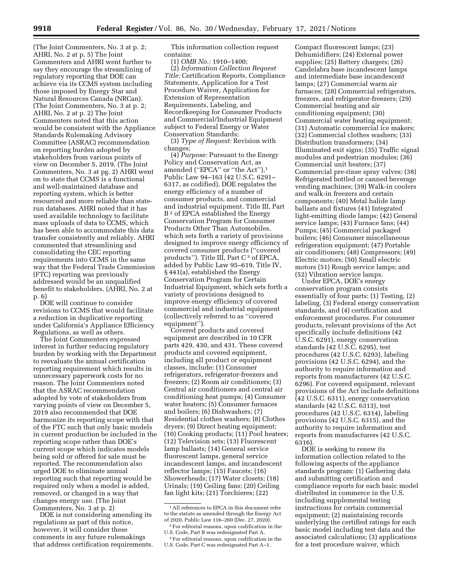(The Joint Commenters, No. 3 at p. 2; AHRI, No. 2 at p. 5) The Joint Commenters and AHRI went further to say they encourage the streamlining of regulatory reporting that DOE can achieve via its CCMS system including those imposed by Energy Star and Natural Resources Canada (NRCan). (The Joint Commenters, No. 3 at p. 2; AHRI, No. 2 at p. 2) The Joint Commenters noted that this action would be consistent with the Appliance Standards Rulemaking Advisory Committee (ASRAC) recommendation on reporting burden adopted by stakeholders from various points of view on December 5, 2019. (The Joint Commenters, No. 3 at pg. 2) AHRI went on to state that CCMS is a functional and well-maintained database and reporting system, which is better resourced and more reliable than staterun databases. AHRI noted that it has used available technology to facilitate mass uploads of data to CCMS, which has been able to accommodate this data transfer consistently and reliably. AHRI commented that streamlining and consolidating the CEC reporting requirements into CCMS in the same way that the Federal Trade Commission (FTC) reporting was previously addressed would be an unqualified benefit to stakeholders. (AHRI, No. 2 at p. 6)

DOE will continue to consider revisions to CCMS that would facilitate a reduction in duplicative reporting under California's Appliance Efficiency Regulations, as well as others.

The Joint Commenters expressed interest in further reducing regulatory burden by working with the Department to reevaluate the annual certification reporting requirement which results in unnecessary paperwork costs for no reason. The Joint Commenters noted that the ASRAC recommendation adopted by vote of stakeholders from varying points of view on December 5, 2019 also recommended that DOE harmonize its reporting scope with that of the FTC such that only basic models in current production be included in the reporting scope rather than DOE's current scope which indicates models being sold or offered for sale must be reported. The recommendation also urged DOE to eliminate annual reporting such that reporting would be required only when a model is added, removed, or changed in a way that changes energy use. (The Joint Commenters, No. 3 at p. 2)

DOE is not considering amending its regulations as part of this notice, however, it will consider these comments in any future rulemakings that address certification requirements.

This information collection request contains:

(1) *OMB No.:* 1910–1400; (2) *Information Collection Request Title:* Certification Reports, Compliance Statements, Application for a Test Procedure Waiver, Application for Extension of Representation Requirements, Labeling, and Recordkeeping for Consumer Products and Commercial/Industrial Equipment subject to Federal Energy or Water Conservation Standards;

(3) *Type of Request:* Revision with changes;

(4) *Purpose:* Pursuant to the Energy Policy and Conservation Act, as amended ("EPCA" or "the Act"),<sup>1</sup> Public Law 94–163 (42 U.S.C. 6291– 6317, as codified), DOE regulates the energy efficiency of a number of consumer products, and commercial and industrial equipment. Title III, Part B<sup>2</sup> of EPCA established the Energy Conservation Program for Consumer Products Other Than Automobiles, which sets forth a variety of provisions designed to improve energy efficiency of covered consumer products (''covered products''). Title III, Part C 3 of EPCA, added by Public Law 95–619, Title IV, § 441(a), established the Energy Conservation Program for Certain Industrial Equipment, which sets forth a variety of provisions designed to improve energy efficiency of covered commercial and industrial equipment (collectively referred to as ''covered equipment'').

Covered products and covered equipment are described in 10 CFR parts 429, 430, and 431. These covered products and covered equipment, including all product or equipment classes, include: (1) Consumer refrigerators, refrigerator-freezers and freezers; (2) Room air conditioners; (3) Central air conditioners and central air conditioning heat pumps; (4) Consumer water heaters; (5) Consumer furnaces and boilers; (6) Dishwashers; (7) Residential clothes washers; (8) Clothes dryers; (9) Direct heating equipment; (10) Cooking products; (11) Pool heaters; (12) Television sets; (13) Fluorescent lamp ballasts; (14) General service fluorescent lamps, general service incandescent lamps, and incandescent reflector lamps; (15) Faucets; (16) Showerheads; (17) Water closets; (18) Urinals; (19) Ceiling fans; (20) Ceiling fan light kits; (21) Torchieres; (22)

Compact fluorescent lamps; (23) Dehumidifiers; (24) External power supplies; (25) Battery chargers; (26) Candelabra base incandescent lamps and intermediate base incandescent lamps; (27) Commercial warm air furnaces; (28) Commercial refrigerators, freezers, and refrigerator-freezers; (29) Commercial heating and air conditioning equipment; (30) Commercial water heating equipment; (31) Automatic commercial ice makers; (32) Commercial clothes washers; (33) Distribution transformers; (34) Illuminated exit signs; (35) Traffic signal modules and pedestrian modules; (36) Commercial unit heaters; (37) Commercial pre-rinse spray valves; (38) Refrigerated bottled or canned beverage vending machines; (39) Walk-in coolers and walk-in freezers and certain components; (40) Metal halide lamp ballasts and fixtures (41) Integrated light-emitting diode lamps; (42) General service lamps; (43) Furnace fans; (44) Pumps; (45) Commercial packaged boilers; (46) Consumer miscellaneous refrigeration equipment; (47) Portable air conditioners; (48) Compressors; (49) Electric motors; (50) Small electric motors (51) Rough service lamps; and (52) Vibration service lamps.

Under EPCA, DOE's energy conservation program consists essentially of four parts: (1) Testing, (2) labeling, (3) Federal energy conservation standards, and (4) certification and enforcement procedures. For consumer products, relevant provisions of the Act specifically include definitions (42 U.S.C. 6291), energy conservation standards (42 U.S.C. 6295), test procedures (42 U.S.C. 6293), labeling provisions (42 U.S.C. 6294), and the authority to require information and reports from manufacturers (42 U.S.C. 6296). For covered equipment, relevant provisions of the Act include definitions (42 U.S.C. 6311), energy conservation standards (42 U.S.C. 6313), test procedures (42 U.S.C. 6314), labeling provisions (42 U.S.C. 6315), and the authority to require information and reports from manufacturers (42 U.S.C. 6316).

DOE is seeking to renew its information collection related to the following aspects of the appliance standards program: (1) Gathering data and submitting certification and compliance reports for each basic model distributed in commerce in the U.S. including supplemental testing instructions for certain commercial equipment; (2) maintaining records underlying the certified ratings for each basic model including test data and the associated calculations; (3) applications for a test procedure waiver, which

<sup>1</sup>All references to EPCA in this document refer to the statute as amended through the Energy Act of 2020, Public Law 116–260 (Dec. 27, 2020).

<sup>2</sup>For editorial reasons, upon codification in the U.S. Code, Part B was redesignated Part A.

<sup>3</sup>For editorial reasons, upon codification in the U.S. Code, Part C was redesignated Part A–1.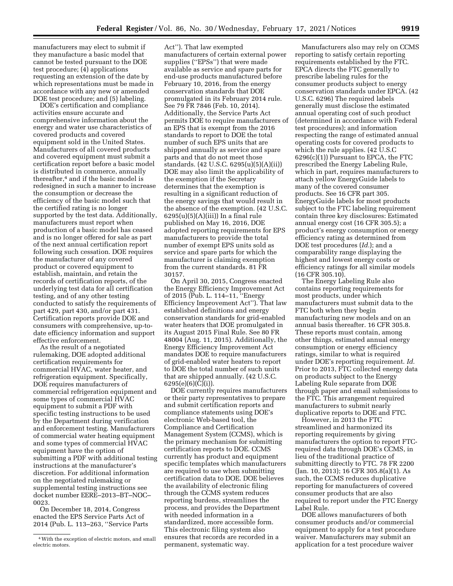manufacturers may elect to submit if they manufacture a basic model that cannot be tested pursuant to the DOE test procedure; (4) applications requesting an extension of the date by which representations must be made in accordance with any new or amended DOE test procedure; and (5) labeling.

DOE's certification and compliance activities ensure accurate and comprehensive information about the energy and water use characteristics of covered products and covered equipment sold in the United States. Manufacturers of all covered products and covered equipment must submit a certification report before a basic model is distributed in commerce, annually thereafter,4 and if the basic model is redesigned in such a manner to increase the consumption or decrease the efficiency of the basic model such that the certified rating is no longer supported by the test data. Additionally, manufacturers must report when production of a basic model has ceased and is no longer offered for sale as part of the next annual certification report following such cessation. DOE requires the manufacturer of any covered product or covered equipment to establish, maintain, and retain the records of certification reports, of the underlying test data for all certification testing, and of any other testing conducted to satisfy the requirements of part 429, part 430, and/or part 431. Certification reports provide DOE and consumers with comprehensive, up-todate efficiency information and support effective enforcement.

As the result of a negotiated rulemaking, DOE adopted additional certification requirements for commercial HVAC, water heater, and refrigeration equipment. Specifically, DOE requires manufacturers of commercial refrigeration equipment and some types of commercial HVAC equipment to submit a PDF with specific testing instructions to be used by the Department during verification and enforcement testing. Manufacturers of commercial water heating equipment and some types of commercial HVAC equipment have the option of submitting a PDF with additional testing instructions at the manufacturer's discretion. For additional information on the negotiated rulemaking or supplemental testing instructions see docket number EERE–2013–BT–NOC– 0023.

On December 18, 2014, Congress enacted the EPS Service Parts Act of 2014 (Pub. L. 113–263, ''Service Parts

Act''). That law exempted manufacturers of certain external power supplies (''EPSs'') that were made available as service and spare parts for end-use products manufactured before February 10, 2016, from the energy conservation standards that DOE promulgated in its February 2014 rule. See 79 FR 7846 (Feb. 10, 2014). Additionally, the Service Parts Act permits DOE to require manufacturers of an EPS that is exempt from the 2016 standards to report to DOE the total number of such EPS units that are shipped annually as service and spare parts and that do not meet those standards. (42 U.S.C. 6295(u)(5)(A)(ii)) DOE may also limit the applicability of the exemption if the Secretary determines that the exemption is resulting in a significant reduction of the energy savings that would result in the absence of the exemption. (42 U.S.C.  $6295(u)(5)(A)(iii)$  In a final rule published on May 16, 2016, DOE adopted reporting requirements for EPS manufacturers to provide the total number of exempt EPS units sold as service and spare parts for which the manufacturer is claiming exemption from the current standards. 81 FR 30157.

On April 30, 2015, Congress enacted the Energy Efficiency Improvement Act of 2015 (Pub. L. 114–11, ''Energy Efficiency Improvement Act''). That law established definitions and energy conservation standards for grid-enabled water heaters that DOE promulgated in its August 2015 Final Rule. See 80 FR 48004 (Aug. 11, 2015). Additionally, the Energy Efficiency Improvement Act mandates DOE to require manufacturers of grid-enabled water heaters to report to DOE the total number of such units that are shipped annually. (42 U.S.C. 6295(e)(6)(C)(i)).

DOE currently requires manufacturers or their party representatives to prepare and submit certification reports and compliance statements using DOE's electronic Web-based tool, the Compliance and Certification Management System (CCMS), which is the primary mechanism for submitting certification reports to DOE. CCMS currently has product and equipment specific templates which manufacturers are required to use when submitting certification data to DOE. DOE believes the availability of electronic filing through the CCMS system reduces reporting burdens, streamlines the process, and provides the Department with needed information in a standardized, more accessible form. This electronic filing system also ensures that records are recorded in a permanent, systematic way.

Manufacturers also may rely on CCMS reporting to satisfy certain reporting requirements established by the FTC. EPCA directs the FTC generally to prescribe labeling rules for the consumer products subject to energy conservation standards under EPCA. (42 U.S.C. 6296) The required labels generally must disclose the estimated annual operating cost of such product (determined in accordance with Federal test procedures); and information respecting the range of estimated annual operating costs for covered products to which the rule applies. (42 U.S.C 6296(c)(1)) Pursuant to EPCA, the FTC prescribed the Energy Labeling Rule, which in part, requires manufacturers to attach yellow EnergyGuide labels to many of the covered consumer products. See 16 CFR part 305. EnergyGuide labels for most products subject to the FTC labeling requirement contain three key disclosures: Estimated annual energy cost (16 CFR 305.5); a product's energy consumption or energy efficiency rating as determined from DOE test procedures (*Id.*); and a comparability range displaying the highest and lowest energy costs or efficiency ratings for all similar models (16 CFR 305.10).

The Energy Labeling Rule also contains reporting requirements for most products, under which manufacturers must submit data to the FTC both when they begin manufacturing new models and on an annual basis thereafter. 16 CFR 305.8. These reports must contain, among other things, estimated annual energy consumption or energy efficiency ratings, similar to what is required under DOE's reporting requirement. *Id.*  Prior to 2013, FTC collected energy data on products subject to the Energy Labeling Rule separate from DOE through paper and email submissions to the FTC. This arrangement required manufacturers to submit nearly duplicative reports to DOE and FTC.

However, in 2013 the FTC streamlined and harmonized its reporting requirements by giving manufacturers the option to report FTCrequired data through DOE's CCMS, in lieu of the traditional practice of submitting directly to FTC. 78 FR 2200 (Jan. 10, 2013); 16 CFR 305.8(a)(1). As such, the CCMS reduces duplicative reporting for manufacturers of covered consumer products that are also required to report under the FTC Energy Label Rule.

DOE allows manufacturers of both consumer products and/or commercial equipment to apply for a test procedure waiver. Manufacturers may submit an application for a test procedure waiver

<sup>4</sup>With the exception of electric motors, and small electric motors.